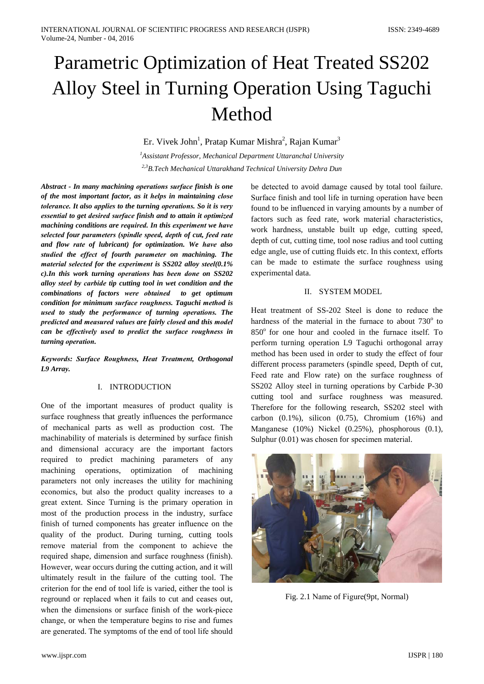# Parametric Optimization of Heat Treated SS202 Alloy Steel in Turning Operation Using Taguchi Method

Er. Vivek John<sup>1</sup>, Pratap Kumar Mishra<sup>2</sup>, Rajan Kumar<sup>3</sup>

 ${}^{1}$ Assistant Professor, Mechanical Department Uttaranchal University <sup>2,3</sup>B.Tech Mechanical Uttarakhand Technical University Dehra Dun

Abstract - In many machining operations surface finish is one of the most important factor, as it helps in maintaining close tolerance. It also applies to the turning operations. So it is very essential to get desired surface finish and to attain it optimized machining conditions are required. In this experiment we have selected four parameters (spindle speed, depth of cut, feed rate and flow rate of lubricant) for optimization. We have also studied the effect of fourth parameter on machining. The material selected for the experiment is  $SS202$  alloy steel(0.1%  $c$ ). In this work turning operations has been done on  $SS202$ alloy steel by carbide tip cutting tool in wet condition and the combinations of factors were obtained to get optimum condition for minimum surface roughness. Taguchi method is used to study the performance of turning operations. The predicted and measured values are fairly closed and this model can be effectively used to predict the surface roughness in turning operation.

Keywords: Surface Roughness, Heat Treatment, Orthogonal L9 Array.

## I. INTRODUCTION

One of the important measures of product quality is surface roughness that greatly influences the performance of mechanical parts as well as production cost. The machinability of materials is determined by surface finish and dimensional accuracy are the important factors required to predict machining parameters of any machining operations, optimization of machining parameters not only increases the utility for machining economics, but also the product quality increases to a great extent. Since Turning is the primary operation in most of the production process in the industry, surface finish of turned components has greater influence on the quality of the product. During turning, cutting tools remove material from the component to achieve the required shape, dimension and surface roughness (finish). However, wear occurs during the cutting action, and it will ultimately result in the failure of the cutting tool. The criterion for the end of tool life is varied, either the tool is reground or replaced when it fails to cut and ceases out, when the dimensions or surface finish of the work-piece change, or when the temperature begins to rise and fumes are generated. The symptoms of the end of tool life should

be detected to avoid damage caused by total tool failure. Surface finish and tool life in turning operation have been found to be influenced in varying amounts by a number of factors such as feed rate, work material characteristics, work hardness, unstable built up edge, cutting speed, depth of cut, cutting time, tool nose radius and tool cutting edge angle, use of cutting fluids etc. In this context, efforts can be made to estimate the surface roughness using experimental data.

#### **II. SYSTEM MODEL**

Heat treatment of SS-202 Steel is done to reduce the hardness of the material in the furnace to about 730° to 850° for one hour and cooled in the furnace itself. To perform turning operation L9 Taguchi orthogonal array method has been used in order to study the effect of four different process parameters (spindle speed, Depth of cut, Feed rate and Flow rate) on the surface roughness of SS202 Alloy steel in turning operations by Carbide P-30 cutting tool and surface roughness was measured. Therefore for the following research, SS202 steel with carbon  $(0.1\%)$ , silicon  $(0.75)$ , Chromium  $(16\%)$  and Manganese  $(10\%)$  Nickel  $(0.25\%)$ , phosphorous  $(0.1)$ , Sulphur (0.01) was chosen for specimen material.



Fig. 2.1 Name of Figure(9pt, Normal)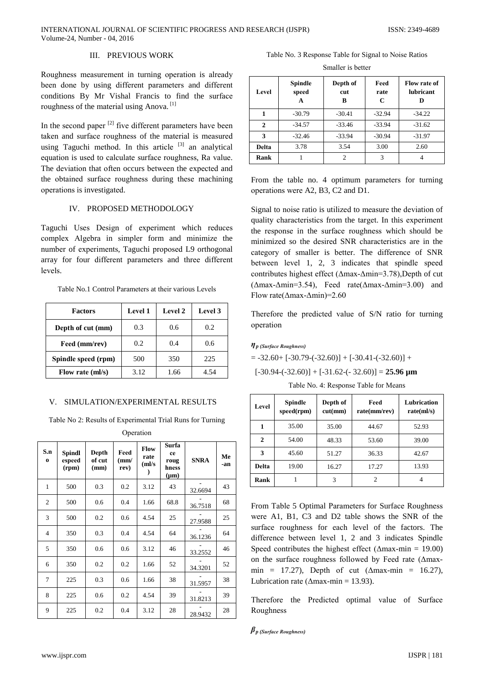# III. PREVIOUS WORK

Roughness measurement in turning operation is already been done by using different parameters and different conditions By Mr Vishal Francis to find the surface roughness of the material using Anova.<sup>[1]</sup>

In the second paper  $^{[2]}$  five different parameters have been taken and surface roughness of the material is measured using Taguchi method. In this article <sup>[3]</sup> an analytical equation is used to calculate surface roughness, Ra value. The deviation that often occurs between the expected and the obtained surface roughness during these machining operations is investigated.

# IV. PROPOSED METHODOLOGY

Taguchi Uses Design of experiment which reduces complex Algebra in simpler form and minimize the number of experiments, Taguchi proposed L9 orthogonal array for four different parameters and three different levels.

## Table No.1 Control Parameters at their various Levels

| <b>Factors</b>      | <b>Level 1</b> | <b>Level 2</b> | Level 3 |
|---------------------|----------------|----------------|---------|
| Depth of cut (mm)   | 0.3            | 0.6            | 0.2     |
| Feed (mm/rev)       | 0.2            | 0.4            | 0.6     |
| Spindle speed (rpm) | 500            | 350            | 225     |
| Flow rate (ml/s)    | 3.12           | 1.66           | 4.54    |

## V. SIMULATION/EXPERIMENTAL RESULTS

Table No 2: Results of Experimental Trial Runs for Turning

| Operation       |                                  |                         |                              |                             |                                           |             |           |
|-----------------|----------------------------------|-------------------------|------------------------------|-----------------------------|-------------------------------------------|-------------|-----------|
| S.n<br>$\bf{o}$ | <b>Spindl</b><br>espeed<br>(rpm) | Depth<br>of cut<br>(mm) | Feed<br>$\mathbf{m}$<br>rev) | Flow<br>rate<br>(ml/s)<br>) | Surfa<br>ce<br>roug<br>hness<br>$(\mu m)$ | <b>SNRA</b> | Me<br>-an |
| 1               | 500                              | 0.3                     | 0.2                          | 3.12                        | 43                                        | 32.6694     | 43        |
| $\overline{c}$  | 500                              | 0.6                     | 0.4                          | 1.66                        | 68.8                                      | 36.7518     | 68        |
| 3               | 500                              | 0.2                     | 0.6                          | 4.54                        | 25                                        | 27.9588     | 25        |
| $\overline{4}$  | 350                              | 0.3                     | 0.4                          | 4.54                        | 64                                        | 36.1236     | 64        |
| 5               | 350                              | 0.6                     | 0.6                          | 3.12                        | 46                                        | 33.2552     | 46        |
| 6               | 350                              | 0.2                     | 0.2                          | 1.66                        | 52                                        | 34.3201     | 52        |
| 7               | 225                              | 0.3                     | 0.6                          | 1.66                        | 38                                        | 31.5957     | 38        |
| 8               | 225                              | 0.6                     | 0.2                          | 4.54                        | 39                                        | 31.8213     | 39        |
| 9               | 225                              | 0.2                     | 0.4                          | 3.12                        | 28                                        | 28.9432     | 28        |

Table No. 3 Response Table for Signal to Noise Ratios

Smaller is better

| Level       | <b>Spindle</b><br>speed<br>A | Depth of<br>cut<br>в | Feed<br>rate<br>C | Flow rate of<br><b>lubricant</b> |  |
|-------------|------------------------------|----------------------|-------------------|----------------------------------|--|
|             | $-30.79$                     | $-30.41$             | $-32.94$          | $-34.22$                         |  |
| 2           | $-34.57$                     | $-33.46$             | $-33.94$          | $-31.62$                         |  |
| 3           | $-32.46$                     | $-33.94$             | $-30.94$          | $-31.97$                         |  |
| Delta       | 3.78                         | 3.54                 | 3.00              | 2.60                             |  |
| <b>Rank</b> |                              | $\overline{c}$       | 3                 |                                  |  |

From the table no. 4 optimum parameters for turning operations were A2, B3, C2 and D1.

Signal to noise ratio is utilized to measure the deviation of quality characteristics from the target. In this experiment the response in the surface roughness which should be minimized so the desired SNR characteristics are in the category of smaller is better. The difference of SNR between level 1, 2, 3 indicates that spindle speed contributes highest effect ( $\Delta$ max- $\Delta$ min=3.78). Depth of cut  $(\Delta max - \Delta min = 3.54)$ , Feed rate( $\Delta max - \Delta min = 3.00$ ) and Flow rate( $\Delta$ max- $\Delta$ min)=2.60

Therefore the predicted value of S/N ratio for turning operation

### $\eta$ <sub>p</sub> (Surface Roughness)

 $= -32.60 + [-30.79 - (-32.60)] + [-30.41 - (-32.60)] +$ 

 $[-30.94 - (-32.60)] + [-31.62 - (-32.60)] = 25.96$  um

Table No. 4: Response Table for Means

| Level | Spindle<br>speed(rpm) | Depth of<br>cut(mm) | Feed<br>rate(mm/rev) | Lubrication<br>rate(ml/s) |
|-------|-----------------------|---------------------|----------------------|---------------------------|
|       | 35.00                 | 35.00               | 44.67                | 52.93                     |
| 2     | 54.00                 | 48.33               | 53.60                | 39.00                     |
| 3     | 45.60                 | 51.27               | 36.33                | 42.67                     |
| Delta | 19.00                 | 16.27               | 17.27                | 13.93                     |
| Rank  |                       | 3                   | 2                    |                           |

From Table 5 Optimal Parameters for Surface Roughness were A1, B1, C3 and D2 table shows the SNR of the surface roughness for each level of the factors. The difference between level 1, 2 and 3 indicates Spindle Speed contributes the highest effect ( $\Delta$ max-min = 19.00) on the surface roughness followed by Feed rate ( $\Delta$ maxmin = 17.27), Depth of cut ( $\Delta$ max-min = 16.27), Lubrication rate ( $\Delta$ max-min = 13.93).

Therefore the Predicted optimal value of Surface Roughness

```
\beta_p (Surface Roughness)
```